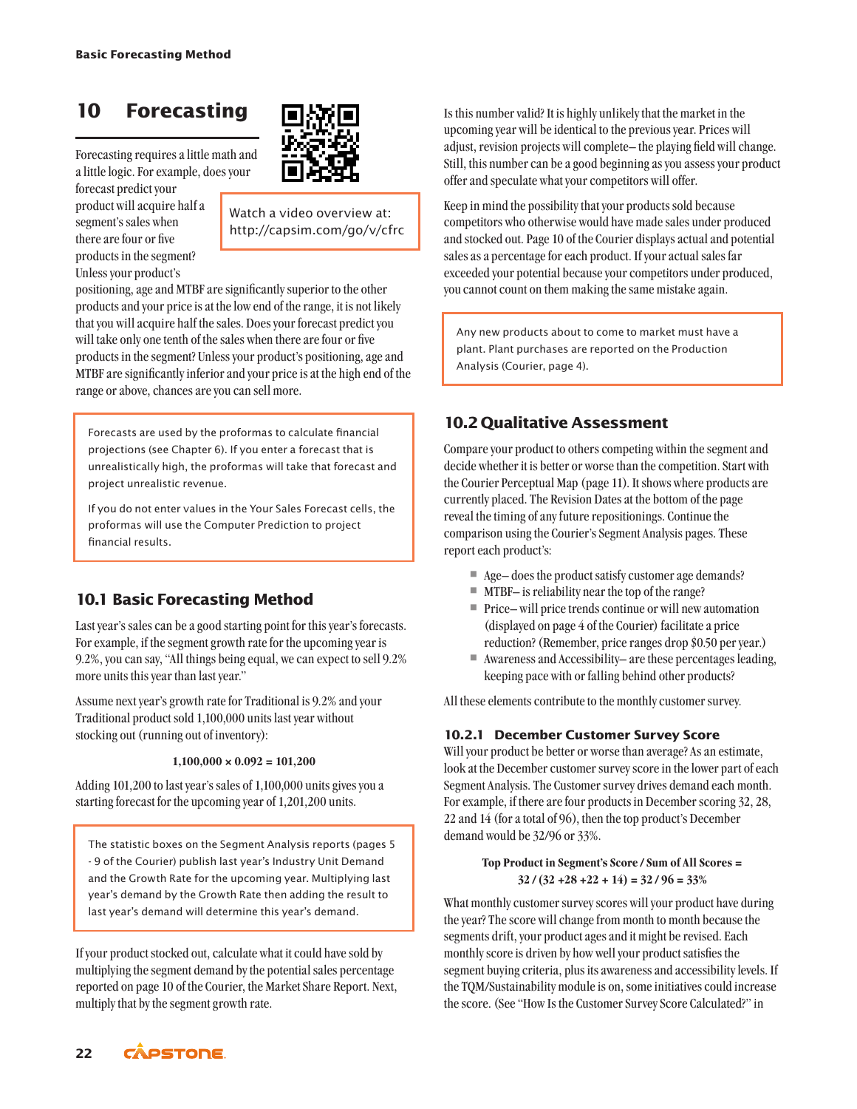# **10 Forecasting**

Forecasting requires a little math and a little logic. For example, does your

forecast predict your product will acquire half a segment's sales when there are four or five products in the segment? Unless your product's



Watch a video overview at: http://capsim.com/go/v/cfrc

positioning, age and MTBF are significantly superior to the other products and your price is at the low end of the range, it is not likely that you will acquire half the sales. Does your forecast predict you will take only one tenth of the sales when there are four or five products in the segment? Unless your product's positioning, age and MTBF are significantly inferior and your price is at the high end of the range or above, chances are you can sell more.

Forecasts are used by the proformas to calculate financial projections (see Chapter 6). If you enter a forecast that is unrealistically high, the proformas will take that forecast and project unrealistic revenue.

If you do not enter values in the Your Sales Forecast cells, the proformas will use the Computer Prediction to project financial results.

# **10.1 Basic Forecasting Method**

Last year's sales can be a good starting point for this year's forecasts. For example, if the segment growth rate for the upcoming year is 9.2%, you can say, "All things being equal, we can expect to sell 9.2% more units this year than last year."

Assume next year's growth rate for Traditional is 9.2% and your Traditional product sold 1,100,000 units last year without stocking out (running out of inventory):

#### **1,100,000 × 0.092 = 101,200**

Adding 101,200 to last year's sales of 1,100,000 units gives you a starting forecast for the upcoming year of 1,201,200 units.

The statistic boxes on the Segment Analysis reports (pages 5 - 9 of the Courier) publish last year's Industry Unit Demand and the Growth Rate for the upcoming year. Multiplying last year's demand by the Growth Rate then adding the result to last year's demand will determine this year's demand.

If your product stocked out, calculate what it could have sold by multiplying the segment demand by the potential sales percentage reported on page 10 of the Courier, the Market Share Report. Next, multiply that by the segment growth rate.

Is this number valid? It is highly unlikely that the market in the upcoming year will be identical to the previous year. Prices will adjust, revision projects will complete– the playing field will change. Still, this number can be a good beginning as you assess your product offer and speculate what your competitors will offer.

Keep in mind the possibility that your products sold because competitors who otherwise would have made sales under produced and stocked out. Page 10 of the Courier displays actual and potential sales as a percentage for each product. If your actual sales far exceeded your potential because your competitors under produced, you cannot count on them making the same mistake again.

Any new products about to come to market must have a plant. Plant purchases are reported on the Production Analysis (Courier, page 4).

## **10.2 Qualitative Assessment**

Compare your product to others competing within the segment and decide whether it is better or worse than the competition. Start with the Courier Perceptual Map (page 11). It shows where products are currently placed. The Revision Dates at the bottom of the page reveal the timing of any future repositionings. Continue the comparison using the Courier's Segment Analysis pages. These report each product's:

- Age does the product satisfy customer age demands?
- $\blacksquare$  MTBF- is reliability near the top of the range?
- $\quad \blacksquare$  <br> Price– will price trends continue or will new automation (displayed on page 4 of the Courier) facilitate a price reduction? (Remember, price ranges drop \$0.50 per year.)
- Awareness and Accessibility– are these percentages leading, keeping pace with or falling behind other products?

All these elements contribute to the monthly customer survey.

#### **10.2.1 December Customer Survey Score**

Will your product be better or worse than average? As an estimate, look at the December customer survey score in the lower part of each Segment Analysis. The Customer survey drives demand each month. For example, if there are four products in December scoring 32, 28, 22 and 14 (for a total of 96), then the top product's December demand would be 32/96 or 33%.

#### **Top Product in Segment's Score / Sum of All Scores = 32 / (32 +28 +22 + 14) = 32 / 96 = 33%**

What monthly customer survey scores will your product have during the year? The score will change from month to month because the segments drift, your product ages and it might be revised. Each monthly score is driven by how well your product satisfies the segment buying criteria, plus its awareness and accessibility levels. If the TQM/Sustainability module is on, some initiatives could increase the score. (See "How Is the Customer Survey Score Calculated?" in